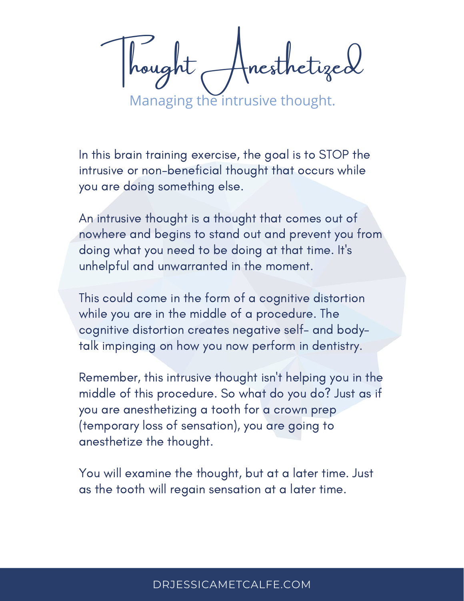tnesthetized

Managing the intrusive thought.

In this brain training exercise, the goal is to STOP the intrusive or non-beneficial thought that occurs while you are doing something else.

An intrusive thought is a thought that comes out of nowhere and begins to stand out and prevent you from doing what you need to be doing at that time. It's unhelpful and unwarranted in the moment.

This could come in the form of a cognitive distortion while you are in the middle of a procedure. The cognitive distortion creates negative self- and bodytalk impinging on how you now perform in dentistry.

Remember, this intrusive thought isn't helping you in the middle of this procedure. So what do you do? Just as if you are anesthetizing a tooth for a crown prep (temporary loss of sensation), you are going to anesthetize the thought.

You will examine the thought, but at a later time. Just as the tooth will regain sensation at a later time.

### [DRJESSICAMETCALFE.COM](https://drjessicametcalfe.com/)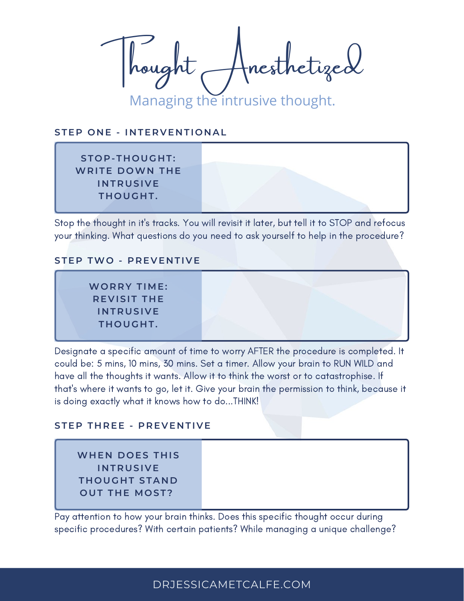Thought Anesthetized Managing the intrusive thought.

#### **STEP O N E - I N TERVE N TI O N AL**

**ST O P-T H O UG H T: WRITE D OWN T H E I N TRUSIVE T H O UG H T.**

Stop the thought in it's tracks. You will revisit it later, but tell it to STOP and refocus your thinking. What questions do you need to ask yourself to help in the procedure?

#### **STEP TWO - PREVE N TIVE**

**WO RRY TIME: REVISIT THE I N TRUSIVE T H O UG H T.**

Designate a specific amount of time to worry AFTER the procedure is completed. It could be: 5 mins, 10 mins, 30 mins. Set a timer. Allow your brain to RUN WILD and have all the thoughts it wants. Allow it to think the worst or to catastrophise. If that's where it wants to go, let it. Give your brain the permission to think, because it is doing exactly what it knows how to do...THINK!

#### **STEP T H REE - PREVE N TIVE**

**WH E N D O ES T H IS I N TRUSIVE T H O UG H T STA N D O UT T H E MO ST?**

Pay attention to how your brain thinks. Does this specific thought occur during specific procedures? With certain patients? While managing a unique challenge?

### [DRJESSICAMETCALFE.COM](https://drjessicametcalfe.com/)